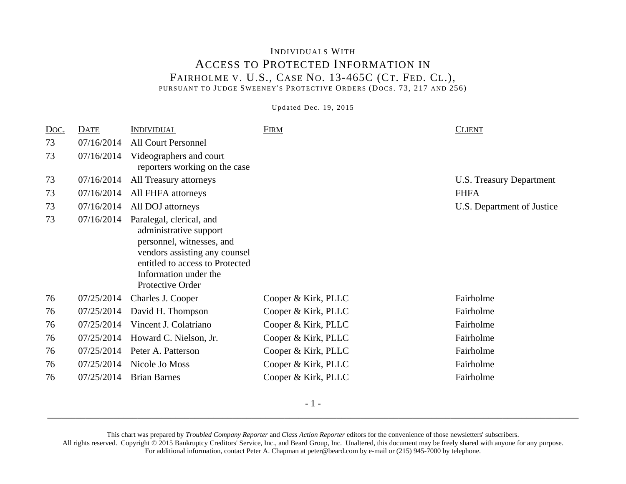## INDIVIDUALS WITH ACCESS TO PROTECTED INFORMATION IN FAIRHOLME V. U.S., CASE NO. 13-465C (CT. FED. CL.), PURSUANT TO JUDGE SWEENEY'S PROTECTIVE ORDERS (DOCS. 73, 217 AND 256)

Updated Dec. 19, 2015

| Doc. | DATE       | <b>INDIVIDUAL</b>                                                                                                                                                                                | <b>FIRM</b>         | <b>CLIENT</b>              |
|------|------------|--------------------------------------------------------------------------------------------------------------------------------------------------------------------------------------------------|---------------------|----------------------------|
| 73   | 07/16/2014 | <b>All Court Personnel</b>                                                                                                                                                                       |                     |                            |
| 73   | 07/16/2014 | Videographers and court<br>reporters working on the case                                                                                                                                         |                     |                            |
| 73   | 07/16/2014 | All Treasury attorneys                                                                                                                                                                           |                     | U.S. Treasury Department   |
| 73   | 07/16/2014 | All FHFA attorneys                                                                                                                                                                               |                     | <b>FHFA</b>                |
| 73   | 07/16/2014 | All DOJ attorneys                                                                                                                                                                                |                     | U.S. Department of Justice |
| 73   | 07/16/2014 | Paralegal, clerical, and<br>administrative support<br>personnel, witnesses, and<br>vendors assisting any counsel<br>entitled to access to Protected<br>Information under the<br>Protective Order |                     |                            |
| 76   | 07/25/2014 | Charles J. Cooper                                                                                                                                                                                | Cooper & Kirk, PLLC | Fairholme                  |
| 76   | 07/25/2014 | David H. Thompson                                                                                                                                                                                | Cooper & Kirk, PLLC | Fairholme                  |
| 76   | 07/25/2014 | Vincent J. Colatriano                                                                                                                                                                            | Cooper & Kirk, PLLC | Fairholme                  |
| 76   | 07/25/2014 | Howard C. Nielson, Jr.                                                                                                                                                                           | Cooper & Kirk, PLLC | Fairholme                  |
| 76   | 07/25/2014 | Peter A. Patterson                                                                                                                                                                               | Cooper & Kirk, PLLC | Fairholme                  |
| 76   | 07/25/2014 | Nicole Jo Moss                                                                                                                                                                                   | Cooper & Kirk, PLLC | Fairholme                  |
| 76   | 07/25/2014 | <b>Brian Barnes</b>                                                                                                                                                                              | Cooper & Kirk, PLLC | Fairholme                  |

This chart was prepared by *Troubled Company Reporter* and *Class Action Reporter* editors for the convenience of those newsletters' subscribers. All rights reserved. Copyright © 2015 Bankruptcy Creditors' Service, Inc., and Beard Group, Inc. Unaltered, this document may be freely shared with anyone for any purpose. For additional information, contact Peter A. Chapman at peter@beard.com by e-mail or (215) 945-7000 by telephone.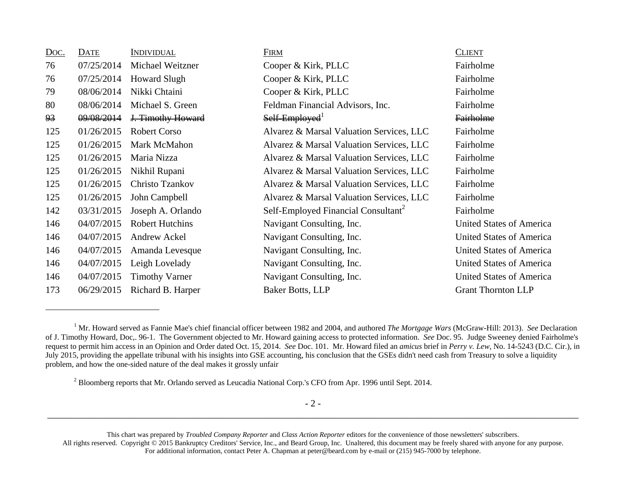| <u>Doc.</u> | DATE       | <b>INDIVIDUAL</b>      | FIRM                                            | <b>CLIENT</b>                   |
|-------------|------------|------------------------|-------------------------------------------------|---------------------------------|
| 76          | 07/25/2014 | Michael Weitzner       | Cooper & Kirk, PLLC                             | Fairholme                       |
| 76          | 07/25/2014 | <b>Howard Slugh</b>    | Cooper & Kirk, PLLC                             | Fairholme                       |
| 79          | 08/06/2014 | Nikki Chtaini          | Cooper & Kirk, PLLC                             | Fairholme                       |
| 80          | 08/06/2014 | Michael S. Green       | Feldman Financial Advisors, Inc.                | Fairholme                       |
| 93          | 09/08/2014 | J. Timothy Howard      | Self-Employed <sup>1</sup>                      | <b>Fairholme</b>                |
| 125         | 01/26/2015 | <b>Robert Corso</b>    | Alvarez & Marsal Valuation Services, LLC        | Fairholme                       |
| 125         | 01/26/2015 | Mark McMahon           | Alvarez & Marsal Valuation Services, LLC        | Fairholme                       |
| 125         | 01/26/2015 | Maria Nizza            | Alvarez & Marsal Valuation Services, LLC        | Fairholme                       |
| 125         | 01/26/2015 | Nikhil Rupani          | Alvarez & Marsal Valuation Services, LLC        | Fairholme                       |
| 125         | 01/26/2015 | Christo Tzankov        | Alvarez & Marsal Valuation Services, LLC        | Fairholme                       |
| 125         | 01/26/2015 | John Campbell          | Alvarez & Marsal Valuation Services, LLC        | Fairholme                       |
| 142         | 03/31/2015 | Joseph A. Orlando      | Self-Employed Financial Consultant <sup>2</sup> | Fairholme                       |
| 146         | 04/07/2015 | <b>Robert Hutchins</b> | Navigant Consulting, Inc.                       | <b>United States of America</b> |
| 146         | 04/07/2015 | Andrew Ackel           | Navigant Consulting, Inc.                       | United States of America        |
| 146         | 04/07/2015 | Amanda Levesque        | Navigant Consulting, Inc.                       | <b>United States of America</b> |
| 146         | 04/07/2015 | Leigh Lovelady         | Navigant Consulting, Inc.                       | <b>United States of America</b> |
| 146         | 04/07/2015 | <b>Timothy Varner</b>  | Navigant Consulting, Inc.                       | United States of America        |
| 173         | 06/29/2015 | Richard B. Harper      | <b>Baker Botts, LLP</b>                         | <b>Grant Thornton LLP</b>       |

<sup>2</sup> Bloomberg reports that Mr. Orlando served as Leucadia National Corp.'s CFO from Apr. 1996 until Sept. 2014.

 $-2-$ \_\_\_\_\_\_\_\_\_\_\_\_\_\_\_\_\_\_\_\_\_\_\_\_\_\_\_\_\_\_\_\_\_\_\_\_\_\_\_\_\_\_\_\_\_\_\_\_\_\_\_\_\_\_\_\_\_\_\_\_\_\_\_\_\_\_\_\_\_\_\_\_\_\_\_\_\_\_\_\_\_\_\_\_\_\_\_\_\_\_\_\_\_\_\_\_\_\_\_\_\_\_\_\_\_\_\_\_\_\_\_\_

<sup>&</sup>lt;sup>1</sup> Mr. Howard served as Fannie Mae's chief financial officer between 1982 and 2004, and authored *The Mortgage Wars* (McGraw-Hill: 2013). *See* Declaration of J. Timothy Howard, Doc,. 96-1. The Government objected to Mr. Howard gaining access to protected information. *See* Doc. 95. Judge Sweeney denied Fairholme's request to permit him access in an Opinion and Order dated Oct. 15, 2014. *See* Doc. 101. Mr. Howard filed an *amicus* brief in *Perry v. Lew*, No. 14-5243 (D.C. Cir.), in July 2015, providing the appellate tribunal with his insights into GSE accounting, his conclusion that the GSEs didn't need cash from Treasury to solve a liquidity problem, and how the one-sided nature of the deal makes it grossly unfair

This chart was prepared by *Troubled Company Reporter* and *Class Action Reporter* editors for the convenience of those newsletters' subscribers. All rights reserved. Copyright © 2015 Bankruptcy Creditors' Service, Inc., and Beard Group, Inc. Unaltered, this document may be freely shared with anyone for any purpose. For additional information, contact Peter A. Chapman at peter@beard.com by e-mail or (215) 945-7000 by telephone.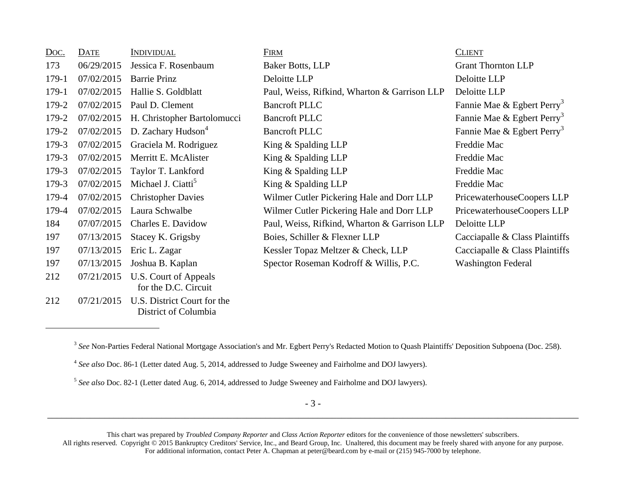| Doc.  | <b>DATE</b> | <b>INDIVIDUAL</b>                                   | <b>FIRM</b>                                  | <b>CLIENT</b>                          |
|-------|-------------|-----------------------------------------------------|----------------------------------------------|----------------------------------------|
| 173   | 06/29/2015  | Jessica F. Rosenbaum                                | Baker Botts, LLP                             | <b>Grant Thornton LLP</b>              |
| 179-1 | 07/02/2015  | <b>Barrie Prinz</b>                                 | Deloitte LLP                                 | Deloitte LLP                           |
| 179-1 | 07/02/2015  | Hallie S. Goldblatt                                 | Paul, Weiss, Rifkind, Wharton & Garrison LLP | Deloitte LLP                           |
| 179-2 | 07/02/2015  | Paul D. Clement                                     | <b>Bancroft PLLC</b>                         | Fannie Mae & Egbert Perry <sup>3</sup> |
| 179-2 | 07/02/2015  | H. Christopher Bartolomucci                         | <b>Bancroft PLLC</b>                         | Fannie Mae & Egbert Perry <sup>3</sup> |
| 179-2 | 07/02/2015  | D. Zachary Hudson <sup>4</sup>                      | <b>Bancroft PLLC</b>                         | Fannie Mae & Egbert Perry <sup>3</sup> |
| 179-3 | 07/02/2015  | Graciela M. Rodriguez                               | King & Spalding LLP                          | Freddie Mac                            |
| 179-3 | 07/02/2015  | Merritt E. McAlister                                | King & Spalding LLP                          | Freddie Mac                            |
| 179-3 | 07/02/2015  | Taylor T. Lankford                                  | King & Spalding LLP                          | Freddie Mac                            |
| 179-3 | 07/02/2015  | Michael J. Ciatti <sup>5</sup>                      | King & Spalding LLP                          | Freddie Mac                            |
| 179-4 | 07/02/2015  | <b>Christopher Davies</b>                           | Wilmer Cutler Pickering Hale and Dorr LLP    | PricewaterhouseCoopers LLP             |
| 179-4 | 07/02/2015  | Laura Schwalbe                                      | Wilmer Cutler Pickering Hale and Dorr LLP    | PricewaterhouseCoopers LLP             |
| 184   | 07/07/2015  | Charles E. Davidow                                  | Paul, Weiss, Rifkind, Wharton & Garrison LLP | Deloitte LLP                           |
| 197   | 07/13/2015  | Stacey K. Grigsby                                   | Boies, Schiller & Flexner LLP                | Cacciapalle & Class Plaintiffs         |
| 197   | 07/13/2015  | Eric L. Zagar                                       | Kessler Topaz Meltzer & Check, LLP           | Cacciapalle & Class Plaintiffs         |
| 197   | 07/13/2015  | Joshua B. Kaplan                                    | Spector Roseman Kodroff & Willis, P.C.       | <b>Washington Federal</b>              |
| 212   | 07/21/2015  | U.S. Court of Appeals<br>for the D.C. Circuit       |                                              |                                        |
| 212   | 07/21/2015  | U.S. District Court for the<br>District of Columbia |                                              |                                        |

- 3 - \_\_\_\_\_\_\_\_\_\_\_\_\_\_\_\_\_\_\_\_\_\_\_\_\_\_\_\_\_\_\_\_\_\_\_\_\_\_\_\_\_\_\_\_\_\_\_\_\_\_\_\_\_\_\_\_\_\_\_\_\_\_\_\_\_\_\_\_\_\_\_\_\_\_\_\_\_\_\_\_\_\_\_\_\_\_\_\_\_\_\_\_\_\_\_\_\_\_\_\_\_\_\_\_\_\_\_\_\_\_\_\_

<sup>&</sup>lt;sup>3</sup> See Non-Parties Federal National Mortgage Association's and Mr. Egbert Perry's Redacted Motion to Quash Plaintiffs' Deposition Subpoena (Doc. 258).

<sup>4</sup> *See also* Doc. 86-1 (Letter dated Aug. 5, 2014, addressed to Judge Sweeney and Fairholme and DOJ lawyers).

<sup>5</sup> *See also* Doc. 82-1 (Letter dated Aug. 6, 2014, addressed to Judge Sweeney and Fairholme and DOJ lawyers).

This chart was prepared by *Troubled Company Reporter* and *Class Action Reporter* editors for the convenience of those newsletters' subscribers. All rights reserved. Copyright © 2015 Bankruptcy Creditors' Service, Inc., and Beard Group, Inc. Unaltered, this document may be freely shared with anyone for any purpose. For additional information, contact Peter A. Chapman at peter@beard.com by e-mail or (215) 945-7000 by telephone.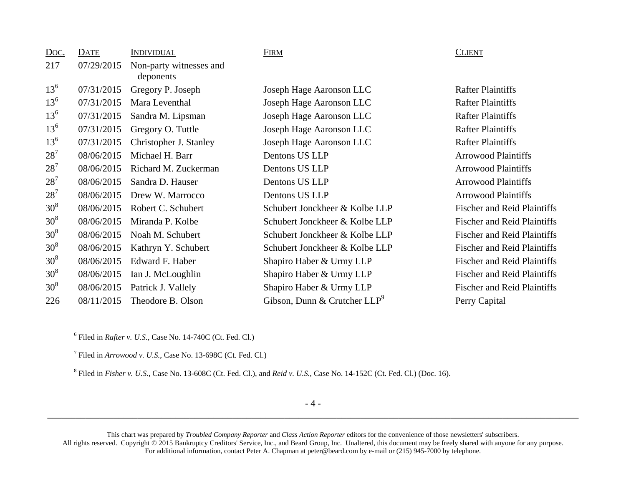| Doc.            | DATE       | <b>INDIVIDUAL</b>                    | <b>FIRM</b>                     | <b>CLIENT</b> |
|-----------------|------------|--------------------------------------|---------------------------------|---------------|
| 217             | 07/29/2015 | Non-party witnesses and<br>deponents |                                 |               |
| $13^{6}$        | 07/31/2015 | Gregory P. Joseph                    | Joseph Hage Aaronson LLC        | Rafter 1      |
| $13^{6}$        | 07/31/2015 | Mara Leventhal                       | Joseph Hage Aaronson LLC        | Rafter I      |
| $13^{6}$        | 07/31/2015 | Sandra M. Lipsman                    | Joseph Hage Aaronson LLC        | Rafter 1      |
| $13^{6}$        | 07/31/2015 | Gregory O. Tuttle                    | Joseph Hage Aaronson LLC        | Rafter 1      |
| $13^{6}$        | 07/31/2015 | Christopher J. Stanley               | Joseph Hage Aaronson LLC        | Rafter 1      |
| $28^{7}$        | 08/06/2015 | Michael H. Barr                      | Dentons US LLP                  | Arrowo        |
| $28^{7}$        | 08/06/2015 | Richard M. Zuckerman                 | Dentons US LLP                  | Arrowo        |
| $28^{7}$        | 08/06/2015 | Sandra D. Hauser                     | Dentons US LLP                  | Arrowo        |
| $28^{7}$        | 08/06/2015 | Drew W. Marrocco                     | Dentons US LLP                  | Arrowo        |
| 30 <sup>8</sup> | 08/06/2015 | Robert C. Schubert                   | Schubert Jonckheer & Kolbe LLP  | Fischer       |
| 30 <sup>8</sup> | 08/06/2015 | Miranda P. Kolbe                     | Schubert Jonckheer & Kolbe LLP  | Fischer       |
| 30 <sup>8</sup> | 08/06/2015 | Noah M. Schubert                     | Schubert Jonckheer & Kolbe LLP  | Fischer       |
| 30 <sup>8</sup> | 08/06/2015 | Kathryn Y. Schubert                  | Schubert Jonckheer & Kolbe LLP  | Fischer       |
| 30 <sup>8</sup> | 08/06/2015 | Edward F. Haber                      | Shapiro Haber & Urmy LLP        | Fischer       |
| 30 <sup>8</sup> | 08/06/2015 | Ian J. McLoughlin                    | Shapiro Haber & Urmy LLP        | Fischer       |
| 30 <sup>8</sup> | 08/06/2015 | Patrick J. Vallely                   | Shapiro Haber & Urmy LLP        | Fischer       |
| 226             | 08/11/2015 | Theodore B. Olson                    | Gibson, Dunn & Crutcher $LLP^9$ | Perry C       |

<sup>13</sup>6 07/31/2015 Gregory P. Joseph Joseph Hage Aaronson LLC Rafter Plaintiffs <sup>13</sup>6 07/31/2015 Mara Leventhal Joseph Hage Aaronson LLC Rafter Plaintiffs <sup>13</sup>6 07/31/2015 Sandra M. Lipsman Joseph Hage Aaronson LLC Rafter Plaintiffs <sup>13</sup>6 07/31/2015 Gregory O. Tuttle Joseph Hage Aaronson LLC Rafter Plaintiffs <sup>13</sup>6 07/31/2015 Christopher J. Stanley Joseph Hage Aaronson LLC Rafter Plaintiffs 287 08/06/2015 Michael H. Barr Dentons US LLP Arrowood Plaintiffs 287 187 187 187 2016 Richard M. Zuckerman D. Zuckerman D. Zuckerman D. Zuckerman D. Zuckerman D. Zuckerman D. Zucker 287 08/06/2015 Sandra D. Hauser Dentons US LLP Arrowood Plaintiffs 287 08/06/2015 Drew W. Marrocco Dentons US LLP Arrowood Plaintiffs  $\alpha$  308 ubert Jonckheer & Kolbe LLP Fischer and Reid Plaintiffs  $\alpha$  308 ubert Jonckheer & Kolbe LLP Fischer and Reid Plaintiffs  $\alpha$  308 ubert Jonckheer & Kolbe LLP Fischer and Reid Plaintiffs  $\alpha$  308 ubert Jonckheer & Kolbe LLP Fischer and Reid Plaintiffs piro Haber & Urmy LLP Fischer and Reid Plaintiffs piro Haber & Urmy LLP Fischer and Reid Plaintiffs piro Haber & Urmy LLP Fischer and Reid Plaintiffs  $228$ son, Dunn & Crutcher LLP<sup>9</sup> Perry Capital

## **CLIENT**

 $<sup>6</sup>$  Filed in *Rafter v. U.S.*, Case No. 14-740C (Ct. Fed. Cl.)</sup>

7 Filed in *Arrowood v. U.S.*, Case No. 13-698C (Ct. Fed. Cl.)

8 Filed in *Fisher v. U.S.*, Case No. 13-608C (Ct. Fed. Cl.), and *Reid v. U.S.*, Case No. 14-152C (Ct. Fed. Cl.) (Doc. 16).

- 4 - \_\_\_\_\_\_\_\_\_\_\_\_\_\_\_\_\_\_\_\_\_\_\_\_\_\_\_\_\_\_\_\_\_\_\_\_\_\_\_\_\_\_\_\_\_\_\_\_\_\_\_\_\_\_\_\_\_\_\_\_\_\_\_\_\_\_\_\_\_\_\_\_\_\_\_\_\_\_\_\_\_\_\_\_\_\_\_\_\_\_\_\_\_\_\_\_\_\_\_\_\_\_\_\_\_\_\_\_\_\_\_\_

This chart was prepared by *Troubled Company Reporter* and *Class Action Reporter* editors for the convenience of those newsletters' subscribers. All rights reserved. Copyright © 2015 Bankruptcy Creditors' Service, Inc., and Beard Group, Inc. Unaltered, this document may be freely shared with anyone for any purpose. For additional information, contact Peter A. Chapman at peter@beard.com by e-mail or (215) 945-7000 by telephone.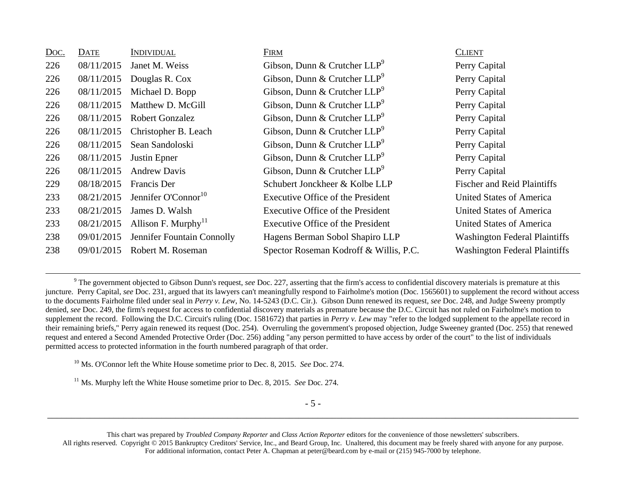| <u>Doc.</u> | DATE       | INDIVIDUAL                                  | <b>FIRM</b>                            | <b>CLIENT</b>                        |
|-------------|------------|---------------------------------------------|----------------------------------------|--------------------------------------|
| 226         | 08/11/2015 | Janet M. Weiss                              | Gibson, Dunn & Crutcher $LLP^9$        | Perry Capital                        |
| 226         | 08/11/2015 | Douglas R. Cox                              | Gibson, Dunn & Crutcher $LLP^9$        | Perry Capital                        |
| 226         | 08/11/2015 | Michael D. Bopp                             | Gibson, Dunn & Crutcher $LLP^9$        | Perry Capital                        |
| 226         | 08/11/2015 | Matthew D. McGill                           | Gibson, Dunn & Crutcher $LLP^9$        | Perry Capital                        |
| 226         | 08/11/2015 | <b>Robert Gonzalez</b>                      | Gibson, Dunn & Crutcher $LLP^9$        | Perry Capital                        |
| 226         | 08/11/2015 | Christopher B. Leach                        | Gibson, Dunn & Crutcher $LLP^9$        | Perry Capital                        |
| 226         | 08/11/2015 | Sean Sandoloski                             | Gibson, Dunn & Crutcher $LLP^9$        | Perry Capital                        |
| 226         | 08/11/2015 | Justin Epner                                | Gibson, Dunn & Crutcher $LLP^9$        | Perry Capital                        |
| 226         | 08/11/2015 | <b>Andrew Davis</b>                         | Gibson, Dunn & Crutcher $LLP^9$        | Perry Capital                        |
| 229         | 08/18/2015 | Francis Der                                 | Schubert Jonckheer & Kolbe LLP         | <b>Fischer and Reid Plaintiffs</b>   |
| 233         | 08/21/2015 | Jennifer O'Connor <sup>10</sup>             | Executive Office of the President      | United States of America             |
| 233         | 08/21/2015 | James D. Walsh                              | Executive Office of the President      | United States of America             |
| 233         | 08/21/2015 | Allison F. Murphy <sup><math>H</math></sup> | Executive Office of the President      | United States of America             |
| 238         | 09/01/2015 | Jennifer Fountain Connolly                  | Hagens Berman Sobol Shapiro LLP        | <b>Washington Federal Plaintiffs</b> |
| 238         | 09/01/2015 | Robert M. Roseman                           | Spector Roseman Kodroff & Willis, P.C. | <b>Washington Federal Plaintiffs</b> |

<sup>9</sup> The government objected to Gibson Dunn's request, *see* Doc. 227, asserting that the firm's access to confidential discovery materials is premature at this juncture. Perry Capital, *see* Doc. 231, argued that its lawyers can't meaningfully respond to Fairholme's motion (Doc. 1565601) to supplement the record without access to the documents Fairholme filed under seal in *Perry v. Lew*, No. 14-5243 (D.C. Cir.). Gibson Dunn renewed its request, *see* Doc. 248, and Judge Sweeny promptly denied, *see* Doc. 249, the firm's request for access to confidential discovery materials as premature because the D.C. Circuit has not ruled on Fairholme's motion to supplement the record. Following the D.C. Circuit's ruling (Doc. 1581672) that parties in *Perry v. Lew* may "refer to the lodged supplement to the appellate record in their remaining briefs," Perry again renewed its request (Doc. 254). Overruling the government's proposed objection, Judge Sweeney granted (Doc. 255) that renewed request and entered a Second Amended Protective Order (Doc. 256) adding "any person permitted to have access by order of the court" to the list of individuals permitted access to protected information in the fourth numbered paragraph of that order.

10 Ms. O'Connor left the White House sometime prior to Dec. 8, 2015. *See* Doc. 274.

11 Ms. Murphy left the White House sometime prior to Dec. 8, 2015. *See* Doc. 274.

This chart was prepared by *Troubled Company Reporter* and *Class Action Reporter* editors for the convenience of those newsletters' subscribers. All rights reserved. Copyright © 2015 Bankruptcy Creditors' Service, Inc., and Beard Group, Inc. Unaltered, this document may be freely shared with anyone for any purpose. For additional information, contact Peter A. Chapman at peter@beard.com by e-mail or (215) 945-7000 by telephone.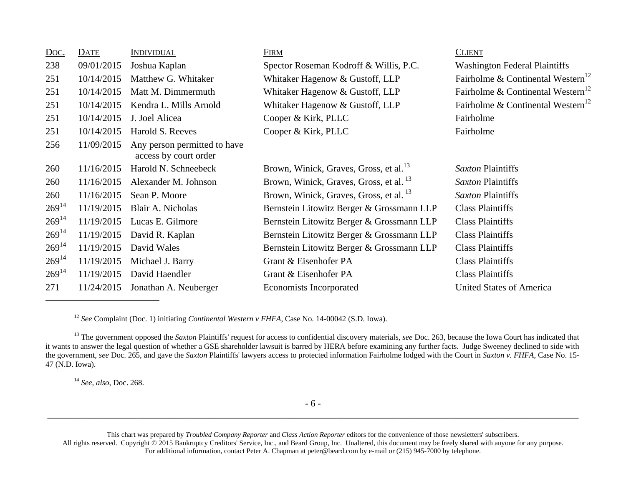| Doc.       | DATE       | <u>Individual</u>                                     | <b>FIRM</b>                                        | <b>CLIENT</b>                                 |
|------------|------------|-------------------------------------------------------|----------------------------------------------------|-----------------------------------------------|
| 238        | 09/01/2015 | Joshua Kaplan                                         | Spector Roseman Kodroff & Willis, P.C.             | <b>Washington Federal Plaintiffs</b>          |
| 251        | 10/14/2015 | Matthew G. Whitaker                                   | Whitaker Hagenow & Gustoff, LLP                    | Fairholme & Continental Western <sup>12</sup> |
| 251        | 10/14/2015 | Matt M. Dimmermuth                                    | Whitaker Hagenow & Gustoff, LLP                    | Fairholme & Continental Western <sup>12</sup> |
| 251        | 10/14/2015 | Kendra L. Mills Arnold                                | Whitaker Hagenow & Gustoff, LLP                    | Fairholme & Continental Western <sup>12</sup> |
| 251        | 10/14/2015 | J. Joel Alicea                                        | Cooper & Kirk, PLLC                                | Fairholme                                     |
| 251        | 10/14/2015 | Harold S. Reeves                                      | Cooper & Kirk, PLLC                                | Fairholme                                     |
| 256        | 11/09/2015 | Any person permitted to have<br>access by court order |                                                    |                                               |
| 260        | 11/16/2015 | Harold N. Schneebeck                                  | Brown, Winick, Graves, Gross, et al. <sup>13</sup> | Saxton Plaintiffs                             |
| 260        | 11/16/2015 | Alexander M. Johnson                                  | Brown, Winick, Graves, Gross, et al. <sup>13</sup> | Saxton Plaintiffs                             |
| 260        | 11/16/2015 | Sean P. Moore                                         | Brown, Winick, Graves, Gross, et al. <sup>13</sup> | Saxton Plaintiffs                             |
| $269^{14}$ | 11/19/2015 | Blair A. Nicholas                                     | Bernstein Litowitz Berger & Grossmann LLP          | <b>Class Plaintiffs</b>                       |
| $269^{14}$ | 11/19/2015 | Lucas E. Gilmore                                      | Bernstein Litowitz Berger & Grossmann LLP          | <b>Class Plaintiffs</b>                       |
| $269^{14}$ | 11/19/2015 | David R. Kaplan                                       | Bernstein Litowitz Berger & Grossmann LLP          | <b>Class Plaintiffs</b>                       |
| $269^{14}$ | 11/19/2015 | David Wales                                           | Bernstein Litowitz Berger & Grossmann LLP          | <b>Class Plaintiffs</b>                       |
| $269^{14}$ | 11/19/2015 | Michael J. Barry                                      | Grant & Eisenhofer PA                              | <b>Class Plaintiffs</b>                       |
| $269^{14}$ | 11/19/2015 | David Haendler                                        | Grant & Eisenhofer PA                              | <b>Class Plaintiffs</b>                       |
| 271        | 11/24/2015 | Jonathan A. Neuberger                                 | <b>Economists Incorporated</b>                     | United States of America                      |

12 *See* Complaint (Doc. 1) initiating *Continental Western v FHFA*, Case No. 14-00042 (S.D. Iowa).

<sup>13</sup> The government opposed the *Saxton* Plaintiffs' request for access to confidential discovery materials, *see* Doc. 263, because the Iowa Court has indicated that it wants to answer the legal question of whether a GSE shareholder lawsuit is barred by HERA before examining any further facts. Judge Sweeney declined to side with the government, *see* Doc. 265, and gave the *Saxton* Plaintiffs' lawyers access to protected information Fairholme lodged with the Court in *Saxton v. FHFA*, Case No. 15- 47 (N.D. Iowa).

14 *See, also*, Doc. 268.

This chart was prepared by *Troubled Company Reporter* and *Class Action Reporter* editors for the convenience of those newsletters' subscribers. All rights reserved. Copyright © 2015 Bankruptcy Creditors' Service, Inc., and Beard Group, Inc. Unaltered, this document may be freely shared with anyone for any purpose. For additional information, contact Peter A. Chapman at peter@beard.com by e-mail or (215) 945-7000 by telephone.